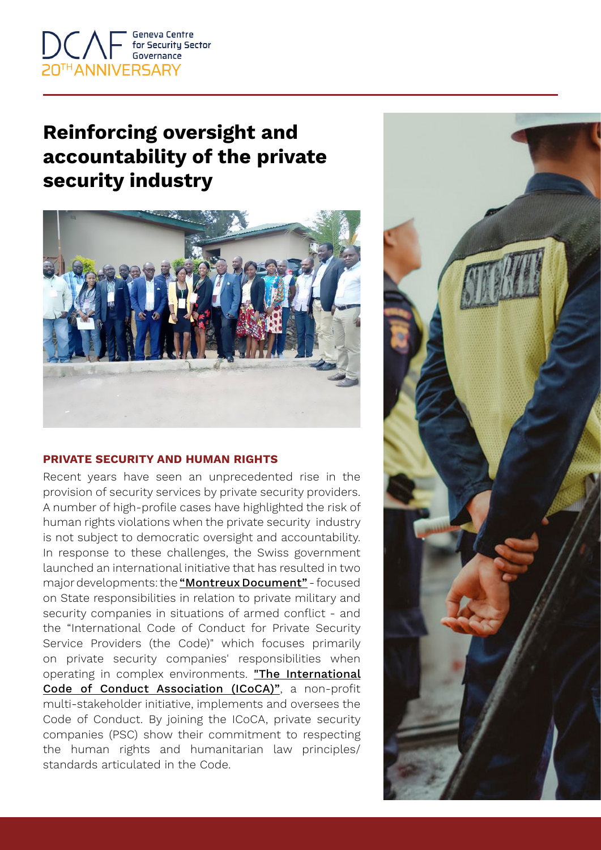

## **Reinforcing oversight and accountability of the private security industry**



## **PRIVATE SECURITY AND HUMAN RIGHTS**

Recent years have seen an unprecedented rise in the provision of security services by private security providers. A number of high-profile cases have highlighted the risk of human rights violations when the private security industry is not subject to democratic oversight and accountability. In response to these challenges, the Swiss government launched an international initiative that has resulted in two major developments: the ["Montreux Document"](https://www.mdforum.ch/) - focused on State responsibilities in relation to private military and security companies in situations of armed conflict - and the "International Code of Conduct for Private Security Service Providers (the Code)" which focuses primarily on private security companies' responsibilities when operating in complex environments. ["The International](https://www.icoca.ch/) [Code of Conduct Association \(ICoCA\)"](https://www.icoca.ch/), a non-profit multi-stakeholder initiative, implements and oversees the Code of Conduct. By joining the ICoCA, private security companies (PSC) show their commitment to respecting the human rights and humanitarian law principles/ standards articulated in the Code.